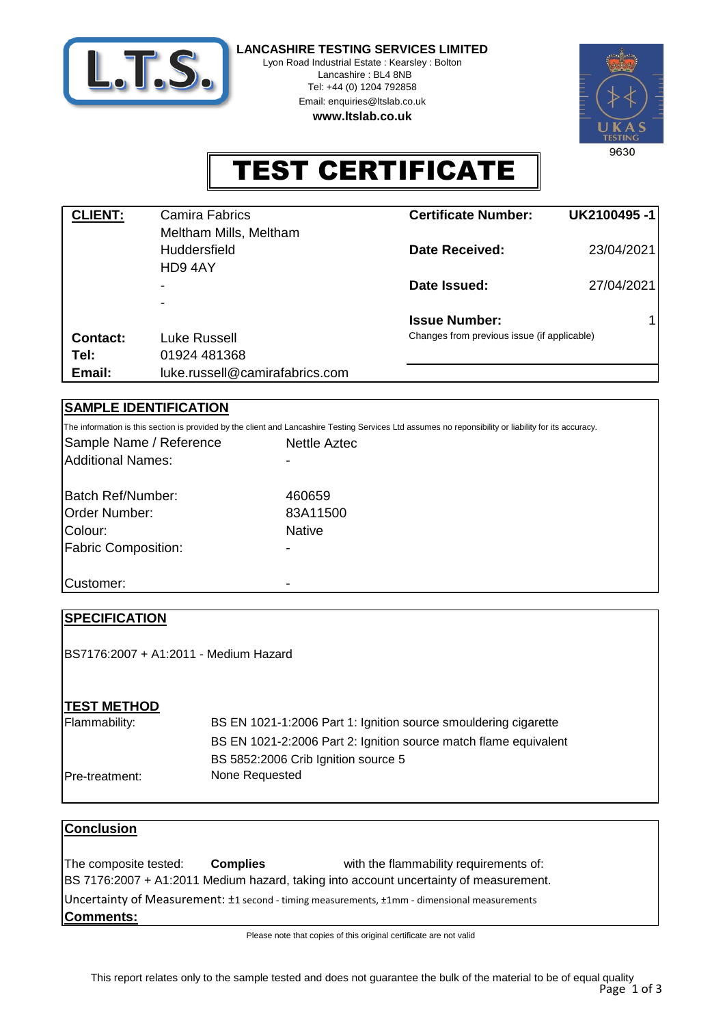

**LANCASHIRE TESTING SERVICES LIMITED**

Lyon Road Industrial Estate : Kearsley : Bolton Lancashire : BL4 8NB Tel: +44 (0) 1204 792858 Email: enquiries@ltslab.co.uk **www.ltslab.co.uk**



TEST CERTIFICATE

| <b>CLIENT:</b>  | Camira Fabrics<br>Meltham Mills, Meltham             | <b>Certificate Number:</b>                  | UK2100495-1 |  |
|-----------------|------------------------------------------------------|---------------------------------------------|-------------|--|
|                 | <b>Huddersfield</b><br>HD94AY                        | <b>Date Received:</b>                       | 23/04/2021  |  |
|                 | $\overline{\phantom{a}}$<br>$\overline{\phantom{a}}$ | Date Issued:                                | 27/04/2021  |  |
|                 |                                                      | <b>Issue Number:</b>                        | 1           |  |
| <b>Contact:</b> | Luke Russell                                         | Changes from previous issue (if applicable) |             |  |
| Tel:            | 01924 481368                                         |                                             |             |  |
| Email:          | luke.russell@camirafabrics.com                       |                                             |             |  |

### **SAMPLE IDENTIFICATION**

Colour: 460659 Order Number: Sample Name / Reference Batch Ref/Number: 83A11500 Native Nettle Aztec The information is this section is provided by the client and Lancashire Testing Services Ltd assumes no reponsibility or liability for its accuracy. Additional Names: - Fabric Composition:

Customer:

## BS EN 1021-1:2006 Part 1: Ignition source smouldering cigarette BS 5852:2006 Crib Ignition source 5 None Requested **SPECIFICATION** Pre-treatment: BS EN 1021-2:2006 Part 2: Ignition source match flame equivalent **TEST METHOD** Flammability: BS7176:2007 + A1:2011 - Medium Hazard

#### **Conclusion**

| The composite tested:                                                                        | Complies | with the flammability requirements of:                                                |  |  |  |
|----------------------------------------------------------------------------------------------|----------|---------------------------------------------------------------------------------------|--|--|--|
|                                                                                              |          | BS 7176:2007 + A1:2011 Medium hazard, taking into account uncertainty of measurement. |  |  |  |
| Uncertainty of Measurement: ±1 second - timing measurements, ±1mm - dimensional measurements |          |                                                                                       |  |  |  |
| <b>Comments:</b>                                                                             |          |                                                                                       |  |  |  |

Please note that copies of this original certificate are not valid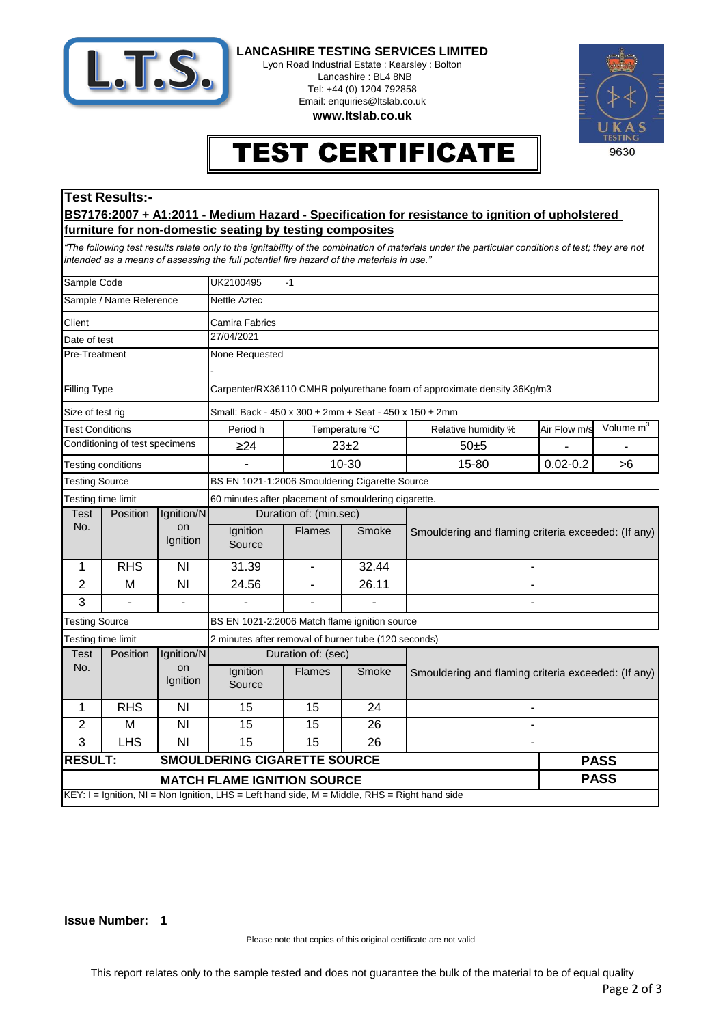

**LANCASHIRE TESTING SERVICES LIMITED**

Lyon Road Industrial Estate : Kearsley : Bolton Lancashire : BL4 8NB Tel: +44 (0) 1204 792858 Email: enquiries@ltslab.co.uk **www.ltslab.co.uk**



TEST CERTIFICATE

### **Test Results:-**

#### **BS7176:2007 + A1:2011 - Medium Hazard - Specification for resistance to ignition of upholstered furniture for non-domestic seating by testing composites**

*"The following test results relate only to the ignitability of the combination of materials under the particular conditions of test; they are not intended as a means of assessing the full potential fire hazard of the materials in use."*

| Sample Code                                           |                                 |                | UK2100495<br>$-1$                                                                                |                                                      |                |                                                     |              |                       |  |  |
|-------------------------------------------------------|---------------------------------|----------------|--------------------------------------------------------------------------------------------------|------------------------------------------------------|----------------|-----------------------------------------------------|--------------|-----------------------|--|--|
|                                                       | Sample / Name Reference         |                | <b>Nettle Aztec</b>                                                                              |                                                      |                |                                                     |              |                       |  |  |
| Client                                                |                                 |                | Camira Fabrics                                                                                   |                                                      |                |                                                     |              |                       |  |  |
| Date of test                                          |                                 |                | 27/04/2021                                                                                       |                                                      |                |                                                     |              |                       |  |  |
|                                                       | Pre-Treatment<br>None Requested |                |                                                                                                  |                                                      |                |                                                     |              |                       |  |  |
|                                                       |                                 |                |                                                                                                  |                                                      |                |                                                     |              |                       |  |  |
| Filling Type                                          |                                 |                | Carpenter/RX36110 CMHR polyurethane foam of approximate density 36Kg/m3                          |                                                      |                |                                                     |              |                       |  |  |
| Size of test rig                                      |                                 |                | Small: Back - 450 x 300 ± 2mm + Seat - 450 x 150 ± 2mm                                           |                                                      |                |                                                     |              |                       |  |  |
| <b>Test Conditions</b>                                |                                 |                | Period h                                                                                         | Temperature °C                                       |                | Relative humidity %                                 | Air Flow m/s | Volume m <sup>3</sup> |  |  |
|                                                       | Conditioning of test specimens  |                | $\geq$ 24                                                                                        | $23\pm2$                                             |                | $50 + 5$                                            |              |                       |  |  |
|                                                       | <b>Testing conditions</b>       |                | $\overline{a}$                                                                                   |                                                      | 10-30          | 15-80<br>$0.02 - 0.2$                               |              | >6                    |  |  |
| <b>Testing Source</b>                                 |                                 |                | BS EN 1021-1:2006 Smouldering Cigarette Source                                                   |                                                      |                |                                                     |              |                       |  |  |
| Testing time limit                                    |                                 |                |                                                                                                  | 60 minutes after placement of smouldering cigarette. |                |                                                     |              |                       |  |  |
| Test<br>Position                                      |                                 | Ignition/N     |                                                                                                  | Duration of: (min.sec)                               |                |                                                     |              |                       |  |  |
| No.                                                   |                                 | on<br>Ignition | Ignition<br>Source                                                                               | <b>Flames</b>                                        | Smoke          | Smouldering and flaming criteria exceeded: (If any) |              |                       |  |  |
| $\mathbf{1}$                                          | <b>RHS</b>                      | N <sub>1</sub> | 31.39                                                                                            | $\overline{\phantom{a}}$                             | 32.44          | $\blacksquare$                                      |              |                       |  |  |
| $\overline{2}$                                        | M                               | ΝI             | 24.56                                                                                            |                                                      | 26.11          |                                                     |              |                       |  |  |
| $\overline{3}$                                        | $\overline{\phantom{a}}$        | $\blacksquare$ | $\overline{\phantom{0}}$                                                                         | ä,                                                   | $\overline{a}$ |                                                     |              |                       |  |  |
| <b>Testing Source</b>                                 |                                 |                | BS EN 1021-2:2006 Match flame ignition source                                                    |                                                      |                |                                                     |              |                       |  |  |
| Testing time limit                                    |                                 |                | 2 minutes after removal of burner tube (120 seconds)                                             |                                                      |                |                                                     |              |                       |  |  |
| Ignition/N<br>Position<br>Test                        |                                 |                | Duration of: (sec)                                                                               |                                                      |                |                                                     |              |                       |  |  |
| No.                                                   |                                 | on<br>Ignition | Ignition<br>Source                                                                               | <b>Flames</b>                                        | Smoke          | Smouldering and flaming criteria exceeded: (If any) |              |                       |  |  |
| 1                                                     | <b>RHS</b>                      | N <sub>1</sub> | 15                                                                                               | 15                                                   | 24             | -                                                   |              |                       |  |  |
| $\overline{2}$                                        | M                               | N <sub>1</sub> | 15                                                                                               | 15                                                   | 26             |                                                     |              |                       |  |  |
| 3                                                     | <b>LHS</b>                      | N <sub>1</sub> | 15                                                                                               | 15                                                   | 26             |                                                     |              |                       |  |  |
| <b>RESULT:</b><br><b>SMOULDERING CIGARETTE SOURCE</b> |                                 |                |                                                                                                  |                                                      |                |                                                     | <b>PASS</b>  |                       |  |  |
|                                                       |                                 |                | <b>MATCH FLAME IGNITION SOURCE</b>                                                               |                                                      |                |                                                     |              | <b>PASS</b>           |  |  |
|                                                       |                                 |                | $KEY: I = Ignition, NI = Non Ignition, LHS = Left hand side, M = Middle, RHS = Right hand side)$ |                                                      |                |                                                     |              |                       |  |  |

#### **Issue Number: 1**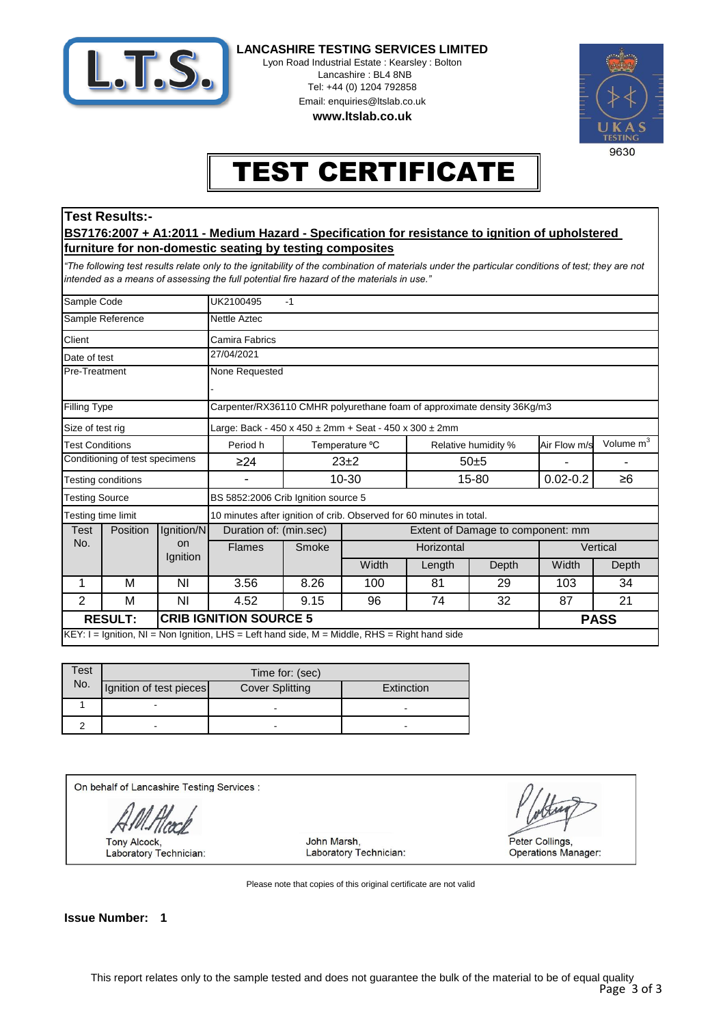

**LANCASHIRE TESTING SERVICES LIMITED**

Lyon Road Industrial Estate : Kearsley : Bolton Lancashire : BL4 8NB Tel: +44 (0) 1204 792858 Email: enquiries@ltslab.co.uk

**www.ltslab.co.uk**



# TEST CERTIFICATE

#### **Test Results:-**

#### **BS7176:2007 + A1:2011 - Medium Hazard - Specification for resistance to ignition of upholstered furniture for non-domestic seating by testing composites**

*"The following test results relate only to the ignitability of the combination of materials under the particular conditions of test; they are not intended as a means of assessing the full potential fire hazard of the materials in use."*

|                                                                                                  | Sample Code<br>UK2100495<br>$-1$ |                       |                                                                      |                                                                         |                        |                     |       |              |                       |
|--------------------------------------------------------------------------------------------------|----------------------------------|-----------------------|----------------------------------------------------------------------|-------------------------------------------------------------------------|------------------------|---------------------|-------|--------------|-----------------------|
| Sample Reference                                                                                 |                                  |                       | <b>Nettle Aztec</b>                                                  |                                                                         |                        |                     |       |              |                       |
| Client                                                                                           |                                  |                       | Camira Fabrics                                                       |                                                                         |                        |                     |       |              |                       |
| Date of test                                                                                     |                                  |                       | 27/04/2021                                                           |                                                                         |                        |                     |       |              |                       |
| Pre-Treatment                                                                                    |                                  |                       | None Requested                                                       |                                                                         |                        |                     |       |              |                       |
| Filling Type                                                                                     |                                  |                       |                                                                      | Carpenter/RX36110 CMHR polyurethane foam of approximate density 36Kg/m3 |                        |                     |       |              |                       |
| Size of test rig<br>Large: Back - 450 x 450 $\pm$ 2mm + Seat - 450 x 300 $\pm$ 2mm               |                                  |                       |                                                                      |                                                                         |                        |                     |       |              |                       |
| <b>Test Conditions</b>                                                                           |                                  |                       | Period h                                                             | Temperature °C                                                          |                        | Relative humidity % |       | Air Flow m/s | Volume m <sup>3</sup> |
| Conditioning of test specimens                                                                   |                                  | ≥24                   |                                                                      | $23+2$<br>50±5                                                          |                        |                     |       |              |                       |
| Testing conditions                                                                               |                                  |                       |                                                                      | 10-30<br>15-80                                                          |                        | $0.02 - 0.2$        | ≥6    |              |                       |
| <b>Testing Source</b>                                                                            |                                  |                       | BS 5852:2006 Crib Ignition source 5                                  |                                                                         |                        |                     |       |              |                       |
| Testing time limit                                                                               |                                  |                       | 10 minutes after ignition of crib. Observed for 60 minutes in total. |                                                                         |                        |                     |       |              |                       |
| Position<br>Ignition/N<br>Test                                                                   |                                  |                       | Duration of: (min.sec)<br>Extent of Damage to component: mm          |                                                                         |                        |                     |       |              |                       |
| No.                                                                                              |                                  | <b>on</b><br>Ignition | <b>Flames</b>                                                        | Smoke                                                                   | Vertical<br>Horizontal |                     |       |              |                       |
|                                                                                                  |                                  |                       |                                                                      |                                                                         | Width                  | Length              | Depth | Width        | Depth                 |
| 1                                                                                                | M                                | ΝI                    | 3.56                                                                 | 8.26                                                                    | 100                    | 81                  | 29    | 103          | 34                    |
| 2                                                                                                | M                                | ΝI                    | 4.52                                                                 | 9.15                                                                    | 96                     | 74                  | 32    | 87           | 21                    |
| <b>CRIB IGNITION SOURCE 5</b><br><b>RESULT:</b>                                                  |                                  |                       |                                                                      |                                                                         |                        |                     |       |              | <b>PASS</b>           |
| $KEY: I = Ignition, NI = Non Ignition, LHS = Left hand side, M = Middle, RHS = Right hand side)$ |                                  |                       |                                                                      |                                                                         |                        |                     |       |              |                       |

| est | Time for: (sec)         |                        |            |  |  |  |  |
|-----|-------------------------|------------------------|------------|--|--|--|--|
| No. | Ignition of test pieces | <b>Cover Splitting</b> | Extinction |  |  |  |  |
|     | -                       |                        |            |  |  |  |  |
|     | -                       | -                      | -          |  |  |  |  |

On behalf of Lancashire Testing Services :

Tony Alcock, Laboratory Technician:

John Marsh, Laboratory Technician:

Peter Collings, **Operations Manager:** 

Please note that copies of this original certificate are not valid

**Issue Number: 1**